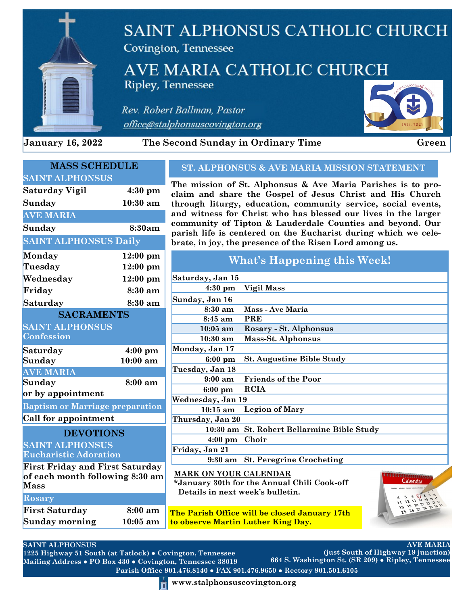

# **SAINT ALPHONSUS CATHOLIC CHURCH**

Covington, Tennessee

### AVE MARIA CATHOLIC CHURCH Ripley, Tennessee

Rev. Robert Ballman, Pastor

office@stalphonsuscovington.org



**January 16, 2022 The Second Sunday in Ordinary Time Green** 

| <b>MASS SCHEDULE</b>                                                      |                    |  |
|---------------------------------------------------------------------------|--------------------|--|
| <b>SAINT ALPHONSUS</b>                                                    |                    |  |
| <b>Saturday Vigil</b>                                                     | $4:30 \text{ pm}$  |  |
| Sunday                                                                    | 10:30 am           |  |
| <b>AVE MARIA</b>                                                          |                    |  |
| Sunday                                                                    | 8:30am             |  |
| <b>SAINT ALPHONSUS Daily</b>                                              |                    |  |
| Monday                                                                    | $12:00 \text{ pm}$ |  |
| Tuesday                                                                   | $12:00$ pm         |  |
| Wednesday                                                                 | 12:00 pm           |  |
| Friday                                                                    | 8:30 am            |  |
| Saturday                                                                  | 8:30 am            |  |
| <b>SACRAMENTS</b>                                                         |                    |  |
| <b>SAINT ALPHONSUS</b>                                                    |                    |  |
| <b>Confession</b>                                                         |                    |  |
| Saturday                                                                  | $4:00$ pm          |  |
| Sunday                                                                    | $10:00$ am         |  |
| <b>AVE MARIA</b>                                                          |                    |  |
| Sunday                                                                    | 8:00 am            |  |
| or by appointment                                                         |                    |  |
| <b>Baptism or Marriage preparation</b>                                    |                    |  |
| Call for appointment                                                      |                    |  |
| <b>DEVOTIONS</b>                                                          |                    |  |
| <b>SAINT ALPHONSUS</b><br><b>Eucharistic Adoration</b>                    |                    |  |
|                                                                           |                    |  |
| <b>First Friday and First Saturday</b><br>of each month following 8:30 am |                    |  |
| Mass                                                                      |                    |  |
| Rosary                                                                    |                    |  |
| <b>First Saturday</b>                                                     | 8:00 am            |  |
| Sunday morning                                                            | $10:05$ am         |  |

#### **ST. ALPHONSUS & AVE MARIA MISSION STATEMENT**

**The mission of St. Alphonsus & Ave Maria Parishes is to proclaim and share the Gospel of Jesus Christ and His Church through liturgy, education, community service, social events, and witness for Christ who has blessed our lives in the larger community of Tipton & Lauderdale Counties and beyond. Our parish life is centered on the Eucharist during which we celebrate, in joy, the presence of the Risen Lord among us.**

**What's Happening this Week!**

|                                  | $\mathbf{W}$ have inappointing this $\mathbf{W}$ cont  |
|----------------------------------|--------------------------------------------------------|
| Saturday, Jan 15                 |                                                        |
| $4:30 \text{ pm}$                | Vigil Mass                                             |
| Sunday, Jan 16                   |                                                        |
| $8:30$ am                        | Mass - Ave Maria                                       |
| $8:45$ am                        | <b>PRE</b>                                             |
| $10:05$ am                       | Rosary - St. Alphonsus                                 |
| $10:30$ am                       | Mass-St. Alphonsus                                     |
| Monday, Jan 17                   |                                                        |
| $6:00 \text{ pm}$                | <b>St. Augustine Bible Study</b>                       |
| Tuesday, Jan 18                  |                                                        |
| $9:00 \text{ am}$                | <b>Friends of the Poor</b>                             |
| $6:00 \text{ pm}$                | <b>RCIA</b>                                            |
| Wednesday, Jan 19                |                                                        |
| $10:15$ am                       | <b>Legion of Mary</b>                                  |
| Thursday, Jan 20                 |                                                        |
|                                  | 10:30 am St. Robert Bellarmine Bible Study             |
| $4:00 \text{ pm}$                | Choir                                                  |
| Friday, Jan 21                   |                                                        |
| $9:30 \text{ am}$                | <b>St. Peregrine Crocheting</b>                        |
| <b>MARK ON YOUR CALENDAR</b>     |                                                        |
|                                  | alendar<br>*January 30th for the Annual Chili Cook-off |
| Details in next week's bulletin. |                                                        |
|                                  | 23 24<br>20 21<br>$\mathcal{A}^{\mathcal{G}}$          |

**The Parish Office will be closed January 17th to observe Martin Luther King Day.**



#### **SAINT ALPHONSUS**

**Parish Office 901.476.8140 ● FAX 901.476.9650 ● Rectory 901.501.6105 1225 Highway 51 South (at Tatlock) ● Covington, Tennessee Mailing Address ● PO Box 430 ● Covington, Tennessee 38019**

**AVE MARIA (just South of Highway 19 junction) 664 S. Washington St. (SR 209) ● Ripley, Tennessee**

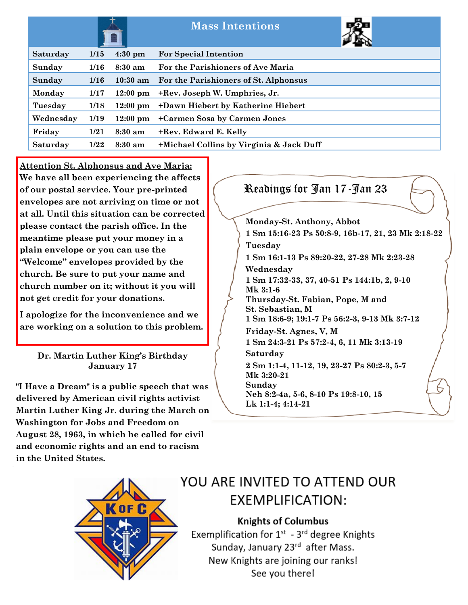|           |             |                    | <b>Mass Intentions</b>                   |  |
|-----------|-------------|--------------------|------------------------------------------|--|
| Saturday  | 1/15        | $4:30$ pm          | <b>For Special Intention</b>             |  |
| Sunday    | 1/16        | $8:30$ am          | For the Parishioners of Ave Maria        |  |
| Sunday    | 1/16        | $10:30$ am         | For the Parishioners of St. Alphonsus    |  |
| Monday    | 1/17        | $12:00 \text{ pm}$ | +Rev. Joseph W. Umphries, Jr.            |  |
| Tuesday   | 1/18        | $12:00 \text{ pm}$ | +Dawn Hiebert by Katherine Hiebert       |  |
| Wednesday | <b>1/19</b> | $12:00 \text{ pm}$ | +Carmen Sosa by Carmen Jones             |  |
| Friday    | 1/21        | $8:30$ am          | +Rev. Edward E. Kelly                    |  |
| Saturday  | <b>1/22</b> | $8:30 \text{ am}$  | +Michael Collins by Virginia & Jack Duff |  |

**Attention St. Alphonsus and Ave Maria: We have all been experiencing the affects of our postal service. Your pre-printed envelopes are not arriving on time or not at all. Until this situation can be corrected please contact the parish office. In the meantime please put your money in a plain envelope or you can use the "Welcome" envelopes provided by the church. Be sure to put your name and church number on it; without it you will not get credit for your donations.**

**I apologize for the inconvenience and we are working on a solution to this problem.** 

> **Dr. Martin Luther King's Birthday January 17**

**"I Have a Dream" is a public speech that was delivered by American civil rights activist Martin Luther King Jr. during the March on Washington for Jobs and Freedom on August 28, 1963, in which he called for civil and economic rights and an end to racism in the United States.**

Readings for Jan 17-Jan 23 **Monday-St. Anthony, Abbot 1 Sm 15:16-23 Ps 50:8-9, 16b-17, 21, 23 Mk 2:18-22 Tuesday 1 Sm 16:1-13 Ps 89:20-22, 27-28 Mk 2:23-28 Wednesday 1 Sm 17:32-33, 37, 40-51 Ps 144:1b, 2, 9-10 Mk 3:1-6 Thursday-St. Fabian, Pope, M and St. Sebastian, M 1 Sm 18:6-9; 19:1-7 Ps 56:2-3, 9-13 Mk 3:7-12 Friday-St. Agnes, V, M 1 Sm 24:3-21 Ps 57:2-4, 6, 11 Mk 3:13-19 Saturday 2 Sm 1:1-4, 11-12, 19, 23-27 Ps 80:2-3, 5-7 Mk 3:20-21 Sunday Neh 8:2-4a, 5-6, 8-10 Ps 19:8-10, 15 Lk 1:1-4; 4:14-21**



# YOU ARE INVITED TO ATTEND OUR EXEMPLIFICATION:

### **Knights of Columbus**

Exemplification for  $1^{st}$  - 3<sup>rd</sup> degree Knights Sunday, January 23rd after Mass. New Knights are joining our ranks! See you there!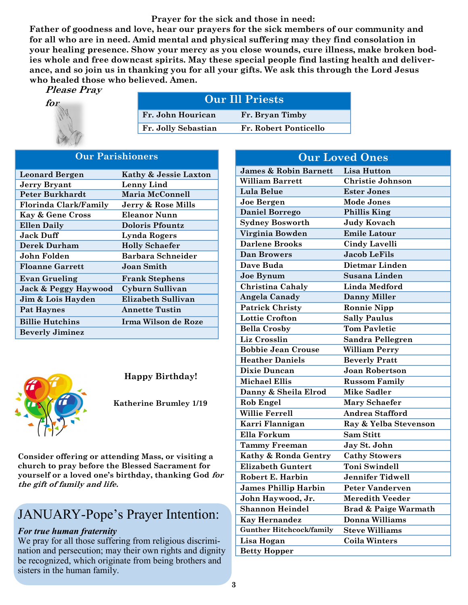#### **Prayer for the sick and those in need:**

**Father of goodness and love, hear our prayers for the sick members of our community and for all who are in need. Amid mental and physical suffering may they find consolation in your healing presence. Show your mercy as you close wounds, cure illness, make broken bodies whole and free downcast spirits. May these special people find lasting health and deliverance, and so join us in thanking you for all your gifts. We ask this through the Lord Jesus who healed those who believed. Amen.** 

**Please Pray** 



| <b>Our Ill Priests</b> |                       |  |  |
|------------------------|-----------------------|--|--|
| Fr. John Hourican      | Fr. Bryan Timby       |  |  |
| Fr. Jolly Sebastian    | Fr. Robert Ponticello |  |  |

#### **Our Parishioners**

| <b>Leonard Bergen</b>        | Kathy & Jessie Laxton |
|------------------------------|-----------------------|
| <b>Jerry Bryant</b>          | Lenny Lind            |
| Peter Burkhardt              | Maria McConnell       |
| <b>Florinda Clark/Family</b> | Jerry & Rose Mills    |
| <b>Kay &amp; Gene Cross</b>  | Eleanor Nunn          |
| <b>Ellen Daily</b>           | Doloris Pfountz       |
| Jack Duff                    | Lynda Rogers          |
| Derek Durham                 | <b>Holly Schaefer</b> |
| John Folden                  | Barbara Schneider     |
| <b>Floanne Garrett</b>       | Joan Smith            |
| <b>Evan Grueling</b>         | <b>Frank Stephens</b> |
| Jack & Peggy Haywood         | Cyburn Sullivan       |
| Jim & Lois Hayden            | Elizabeth Sullivan    |
| Pat Haynes                   | <b>Annette Tustin</b> |
| <b>Billie Hutchins</b>       | Irma Wilson de Roze   |
| <b>Beverly Jiminez</b>       |                       |



 **Happy Birthday!**

 **Katherine Brumley 1/19**

**Consider offering or attending Mass, or visiting a church to pray before the Blessed Sacrament for yourself or a loved one's birthday, thanking God for the gift of family and life.**

## JANUARY-Pope's Prayer Intention:

#### *For true human fraternity*

We pray for all those suffering from religious discrimination and persecution; may their own rights and dignity be recognized, which originate from being brothers and sisters in the human family.

| <b>Our Loved Ones</b>            |                                 |  |  |
|----------------------------------|---------------------------------|--|--|
| <b>James &amp; Robin Barnett</b> | Lisa Hutton                     |  |  |
| <b>William Barrett</b>           | <b>Christie Johnson</b>         |  |  |
| Lula Belue                       | <b>Ester Jones</b>              |  |  |
| <b>Joe Bergen</b>                | <b>Mode Jones</b>               |  |  |
| <b>Daniel Borrego</b>            | <b>Phillis King</b>             |  |  |
| <b>Sydney Bosworth</b>           | <b>Judy Kovach</b>              |  |  |
| Virginia Bowden                  | <b>Emile Latour</b>             |  |  |
| <b>Darlene Brooks</b>            | <b>Cindy Lavelli</b>            |  |  |
| <b>Dan Browers</b>               | <b>Jacob LeFils</b>             |  |  |
| Dave Buda                        | Dietmar Linden                  |  |  |
| Joe Bynum                        | Susana Linden                   |  |  |
| <b>Christina Cahaly</b>          | <b>Linda Medford</b>            |  |  |
| Angela Canady                    | <b>Danny Miller</b>             |  |  |
| <b>Patrick Christy</b>           | <b>Ronnie Nipp</b>              |  |  |
| <b>Lottie Crofton</b>            | <b>Sally Paulus</b>             |  |  |
| <b>Bella Crosby</b>              | <b>Tom Payletic</b>             |  |  |
| Liz Crosslin                     | <b>Sandra Pellegren</b>         |  |  |
| <b>Bobbie Jean Crouse</b>        | <b>William Perry</b>            |  |  |
| <b>Heather Daniels</b>           | <b>Beverly Pratt</b>            |  |  |
| Dixie Duncan                     | <b>Joan Robertson</b>           |  |  |
| <b>Michael Ellis</b>             | <b>Russom Family</b>            |  |  |
| Danny & Sheila Elrod             | <b>Mike Sadler</b>              |  |  |
| <b>Rob Engel</b>                 | <b>Mary Schaefer</b>            |  |  |
| <b>Willie Ferrell</b>            | Andrea Stafford                 |  |  |
| Karri Flannigan                  | Ray & Yelba Stevenson           |  |  |
| Ella Forkum                      | <b>Sam Stitt</b>                |  |  |
| <b>Tammy Freeman</b>             | Jay St. John                    |  |  |
| Kathy & Ronda Gentry             | <b>Cathy Stowers</b>            |  |  |
| <b>Elizabeth Guntert</b>         | <b>Toni Swindell</b>            |  |  |
| Robert E. Harbin                 | <b>Jennifer Tidwell</b>         |  |  |
| <b>James Phillip Harbin</b>      | <b>Peter Vanderven</b>          |  |  |
| John Haywood, Jr.                | <b>Meredith Veeder</b>          |  |  |
| <b>Shannon Heindel</b>           | <b>Brad &amp; Paige Warmath</b> |  |  |
| <b>Kay Hernandez</b>             | Donna Williams                  |  |  |
| <b>Gunther Hitchcock/family</b>  | <b>Steve Williams</b>           |  |  |
| Lisa Hogan                       | Coila Winters                   |  |  |
| <b>Betty Hopper</b>              |                                 |  |  |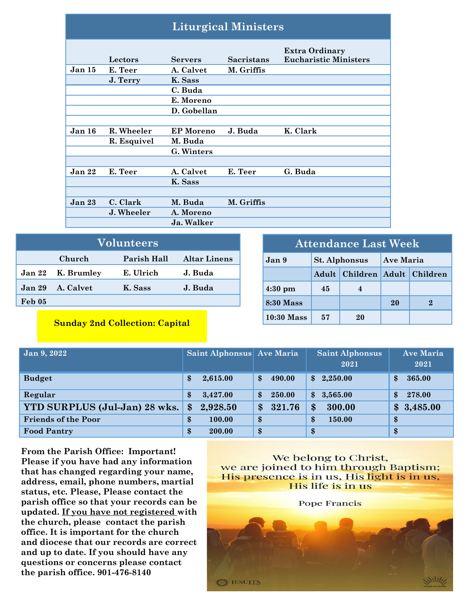| <b>Liturgical Ministers</b> |                     |                      |                   |                                                       |
|-----------------------------|---------------------|----------------------|-------------------|-------------------------------------------------------|
|                             | Lectors             | <b>Servers</b>       | <b>Sacristans</b> | <b>Extra Ordinary</b><br><b>Eucharistic Ministers</b> |
|                             |                     |                      |                   |                                                       |
| Jan 15                      | E. Teer<br>J. Terry | A. Calvet<br>K. Sass | M. Griffis        |                                                       |
|                             |                     | C. Buda              |                   |                                                       |
|                             |                     | E. Moreno            |                   |                                                       |
|                             |                     | D. Gobellan          |                   |                                                       |
|                             |                     |                      |                   |                                                       |
| Jan 16                      | R. Wheeler          | <b>EP</b> Moreno     | J. Buda           | K. Clark                                              |
|                             | R. Esquivel         | M. Buda              |                   |                                                       |
|                             |                     | G. Winters           |                   |                                                       |
|                             |                     |                      |                   |                                                       |
| Jan 22                      | E. Teer             | A. Calvet            | E. Teer           | G. Buda                                               |
|                             |                     | K. Sass              |                   |                                                       |
|                             |                     |                      |                   |                                                       |
| Jan 23                      | C. Clark            | M. Buda              | M. Griffis        |                                                       |
|                             | J. Wheeler          | A. Moreno            |                   |                                                       |
|                             |                     | Ja. Walker           |                   |                                                       |

| <b>Volunteers</b>                            |                   |           |         |  |
|----------------------------------------------|-------------------|-----------|---------|--|
| Church<br>Parish Hall<br><b>Altar Linens</b> |                   |           |         |  |
|                                              | Jan 22 K. Brumley | E. Ulrich | J. Buda |  |
|                                              | Jan 29 A. Calvet  | K. Sass   | J. Buda |  |
| <b>Feb 05</b>                                |                   |           |         |  |

| <b>Attendance Last Week</b> |    |                               |           |   |  |
|-----------------------------|----|-------------------------------|-----------|---|--|
| Jan 9                       |    | <b>St. Alphonsus</b>          | Ave Maria |   |  |
|                             |    | Adult Children Adult Children |           |   |  |
| $4:30$ pm                   | 45 |                               |           |   |  |
| <b>8:30 Mass</b>            |    |                               | 20        | 2 |  |
| $10:30$ Mass                | 57 | 20                            |           |   |  |

**Sunday 2nd Collection: Capital**

| Jan 9, 2022                   | Saint Alphonsus Ave Maria     |                             | <b>Saint Alphonsus</b>    | <b>Ave Maria</b> |
|-------------------------------|-------------------------------|-----------------------------|---------------------------|------------------|
|                               |                               |                             | 2021                      | 2021             |
| <b>Budget</b>                 | \$<br>2,615.00                | 490.00<br>\$                | 2,250.00<br>$\mathbf{\$}$ | 365.00<br>\$     |
| Regular                       | 3,427.00<br>\$                | 250.00<br>\$                | 3,565.00<br>$\mathbf{s}$  | 278.00<br>\$     |
| YTD SURPLUS (Jul-Jan) 28 wks. | 2,928.50<br>$\boldsymbol{\$}$ | 321.76<br>$\boldsymbol{\$}$ | 300.00<br>\$              | \$3,485.00       |
| <b>Friends of the Poor</b>    | $\mathbf{\$}$<br>100.00       | \$                          | 150.00<br>$\mathbf{\$}$   | \$               |
| <b>Food Pantry</b>            | $\mathbf{\$}$<br>200.00       | \$                          | \$                        | $\pmb{\$}$       |

**From the Parish Office: Important! Please if you have had any information that has changed regarding your name, address, email, phone numbers, martial status, etc. Please, Please contact the parish office so that your records can be updated. If you have not registered with the church, please contact the parish office. It is important for the church and diocese that our records are correct and up to date. If you should have any questions or concerns please contact the parish office. 901-476-8140**

We belong to Christ, we are joined to him through Baptism; His presence is in us, His light is in us, His life is in us Pope Francis